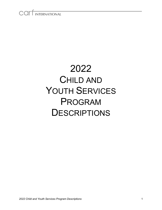# COIT INTERNATIONAL

# 2022 CHILD AND YOUTH SERVICES PROGRAM **DESCRIPTIONS**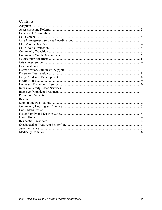# **Contents**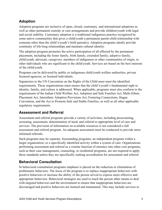# <span id="page-2-0"></span>**Adoption**

Adoption programs are inclusive of open, closed, customary, and international adoptions as well as other permanent custody or care arrangements and provide children/youth with legal and social stability. Customary adoption is a traditional indigenous practice recognized by some native communities that gives a child/youth a permanent parent-child relationship with someone other than the child's/youth's birth parent(s). Adoption programs ideally provide continuity of life-long relationships and maintain cultural identity.

The adoption program promotes the active participation of all affected by the permanent placement, including the foster family, birth family, extended family, adoptive family, child/youth, advocate, caregivers, members of indigenous or other communities of origin, or other individuals who are significant to the child/youth. Services are based on the best interests of the child/youth.

Programs can be delivered by public or indigenous child/youth welfare authorities, private licensed agencies, or licensed individuals.

Signatories to the UN Convention on the Rights of the Child must meet the identified requirements. These organizations must ensure that the child's/youth's fundamental right to identity, family, and culture is addressed. When applicable, programs must also conform to the requirements of the Indian Child Welfare Act, Adoption and Safe Families Act, Multi-Ethnic Placement Act, Interethnic Adoption Provisions Act, Fostering Connections, Hague Convention, and the Act to Promote Safe and Stable Families, as well as all other applicable regulatory requirements.

# <span id="page-2-1"></span>**Assessment and Referral**

Assessment and referral programs provide a variety of activities, including prescreening, screening, assessment, determination of need, and referral to appropriate level of care and services. The provision of information on available resources is not considered a full assessment and referral program. An adequate assessment must be conducted to provide more informed referrals.

Such programs may be separate, freestanding programs; an independent program within a larger organization; or a specifically identified activity within a system of care. Organizations performing assessment and referral as a routine function of entrance into other core programs, such as their case management, counseling, or residential programs, are not required to apply these standards unless they are specifically seeking accreditation for assessment and referral.

# <span id="page-2-2"></span>**Behavioral Consultation**

In behavioral consultation programs emphasis is placed on the reduction or elimination of problematic behaviors. The focus of the program is to replace inappropriate behaviors with positive behaviors or increase the ability of the person served to express more effective and appropriate behaviors. Behavioral strategies are used to teach the person other means to deal with targeted behaviors and the environment to ensure that inappropriate behaviors are discouraged and positive behaviors are learned and maintained. This may include services to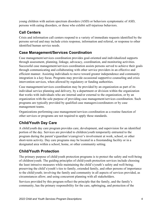young children with autism spectrum disorders (ASD) or behaviors symptomatic of ASD, persons with eating disorders, or those who exhibit self-injurious behaviors.

# <span id="page-3-0"></span>**Call Centers**

Crisis and information call centers respond to a variety of immediate requests identified by the persons served and may include crisis response, information and referral, or response to other identified human service needs.

# <span id="page-3-1"></span>**Case Management/Services Coordination**

Case management/services coordination provides goal-oriented and individualized supports through assessment, planning, linkage, advocacy, coordination, and monitoring activities. Successful case management/services coordination assists persons served to achieve their goals through communicating and collaborating with other service providers in an effective and efficient manner. Assisting individuals to move toward greater independence and community integration is a key focus. Programs may provide occasional supportive counseling and crisis intervention services, when allowed by regulatory or funding authorities.

Case management/services coordination may be provided by an organization as part of its individual service planning and delivery, by a department or division within the organization that works with individuals who are internal and/or external to the organization, or by an organization with the sole purpose of providing case management/services coordination. Such programs are typically provided by qualified case managers/coordinators or by case management teams.

Organizations performing case management/services coordination as a routine function of other services or programs are not required to apply these standards.

# <span id="page-3-2"></span>**Child/Youth Day Care**

A child/youth day care program provides care, development, and supervision for an identified portion of the day. Services are provided to children/youth temporarily entrusted to the program during the parent's/guardian's/caregiver's involvement at work, school, or other short-term activity. Day care programs may be located in a freestanding facility or in a designated area within a school, home, or other community setting.

# <span id="page-3-3"></span>**Child/Youth Protection**

The primary purpose of child/youth protection programs is to protect the safety and well-being of children/youth. The guiding principles of child/youth protection services include choosing the least intrusive measures while maintaining the child's/youth's safety and well-being; preserving the child's/youth's ties to family, extended family, and other persons of importance to the child/youth; involving the family and community in all aspects of services provided, as circumstances allow; and using concurrent planning with all stakeholders.

Services provided by this program reflect the principle that the family, and the family's community, has the primary responsibility for the care, upbringing, and protection of the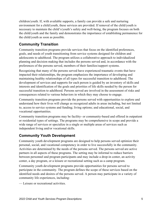children/youth. If, with available supports, a family can provide a safe and nurturing environment for a child/youth, these services are provided. If removal of the child/youth is necessary to maintain the child's/youth's safety and well-being, the program focuses on both the child/youth and the family and demonstrates the importance of establishing permanence for the child/youth as soon as possible.

# <span id="page-4-0"></span>**Community Transition**

Community transition programs provide services that focus on the identified preferences, goals, and needs of youth transitioning from service systems designed for children and adolescents to adulthood. The program utilizes a collaborative approach to individualized planning and decision making that includes the persons served and, in accordance with the preferences of the persons served, members of their families/support systems.

Recognizing that many of the persons served have experienced traumatic events that have impacted their relationships, the program emphasizes the importance of developing and maintaining healthy relationships of all types for successful transition to adulthood. The development of services and supports for each person is guided by an inventory of skills and interests and identification of the goals and priorities of life skills needed by the person for successful transition to adulthood. Persons served are involved in the assessment of risks and consequences related to various behaviors in which they may choose to engage.

Community transition programs provide the persons served with opportunities to explore and understand how their lives will change as recognized adults in areas including, but not limited to, access to service systems and funding; living options; and educational, social, and vocational opportunities.

Community transition programs may be facility- or community-based and offered in outpatient or residential types of settings. The programs may be comprehensive in scope and provide a wide range of services or specialize in a single or multiple areas of services such as independent living and/or vocational skills.

#### <span id="page-4-1"></span>**Community Youth Development**

Community youth development programs are designed to help persons served optimize their personal, social, and vocational competency in order to live successfully in the community. Activities are determined by the needs of the persons served. The persons served are active partners in all aspects of these programs. The setting may be informal to reduce barriers between personnel and program participants and may include a drop-in center, an activity center, a day program, or a leisure or recreational setting such as a camp program.

Community youth development programs provide opportunities for persons served to participate in the community. The program defines the scope of these services based on the identified needs and desires of the persons served. A person may participate in a variety of community life experiences, including:

— Leisure or recreational activities.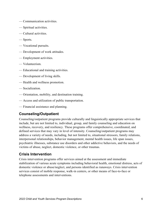- Communication activities.
- Spiritual activities.
- Cultural activities.
- Sports.
- Vocational pursuits.
- Development of work attitudes.
- Employment activities.
- Volunteerism.
- Educational and training activities.
- Development of living skills.
- Health and wellness promotion.
- Socialization.
- Orientation, mobility, and destination training.
- Access and utilization of public transportation.
- Financial assistance and planning.

#### <span id="page-5-0"></span>**Counseling/Outpatient**

Counseling/outpatient programs provide culturally and linguistically appropriate services that include, but are not limited to, individual, group, and family counseling and education on wellness, recovery, and resiliency. These programs offer comprehensive, coordinated, and defined services that may vary in level of intensity. Counseling/outpatient programs may address a variety of needs, including, but not limited to, situational stressors, family relations, interpersonal relationships, behavior management, mental health issues, life span issues, psychiatric illnesses, substance use disorders and other addictive behaviors, and the needs of victims of abuse, neglect, domestic violence, or other traumas.

#### <span id="page-5-1"></span>**Crisis Intervention**

Crisis intervention programs offer services aimed at the assessment and immediate stabilization of various acute symptoms including behavioral health, emotional distress, acts of domestic violence or abuse/neglect, and persons identified as runaways. Crisis intervention services consist of mobile response, walk-in centers, or other means of face-to-face or telephone assessments and interventions.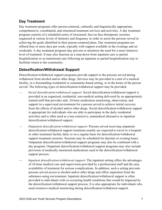# <span id="page-6-0"></span>**Day Treatment**

Day treatment programs offer person-centered, culturally and linguistically appropriate, comprehensive, coordinated, and structured treatment services and activities. A day treatment program consists of a scheduled series of structured, face-to-face therapeutic sessions organized at various levels of intensity and frequency in order to assist the persons served in achieving the goals identified in their person-centered plans. Day treatment programs are offered four or more days per week, typically with support available in the evenings and on weekends. A day treatment program may prevent or minimize the need for a more intensive level of treatment. It may also function as a step-down from inpatient care or partial hospitalization or as transitional care following an inpatient or partial hospitalization stay to facilitate return to the community.

# <span id="page-6-1"></span>**Detoxification/Withdrawal Support**

Detoxification/withdrawal support programs provide support to the persons served during withdrawal from alcohol and/or other drugs. Services may be provided in a unit of a medical facility, in a freestanding residential or community-based setting, or in the home of the person served. The following types of detoxification/withdrawal support may be provided:

- *Social detoxification/withdrawal support*: Social detoxification/withdrawal support is provided in an organized, residential, non-medical setting delivered by an appropriately trained staff that provides safe, 24-hour medication monitoring, observation, and support in a supervised environment for a person served to achieve initial recovery from the effects of alcohol and/or other drugs. Social detoxification/withdrawal support is appropriate for individuals who are able to participate in the daily residential activities and is often used as a less restrictive, nonmedical alternative to inpatient detoxification/withdrawal support.
- *Outpatient detoxification/withdrawal support*: Persons served receiving outpatient detoxification/withdrawal support treatment usually are expected to travel to a hospital or other treatment facility daily or on a regular basis for detoxification/withdrawal support treatment sessions. Sessions may be scheduled for daytime or evening hours. Outpatient detoxification/withdrawal support programs may also be combined with a day program. Outpatient detoxification/withdrawal support programs may also include provision of medically monitored medications used in the detoxification/withdrawal support process.
- *Inpatient detoxification/withdrawal support*: The inpatient setting offers the advantages of 24-hour medical care and supervision provided by a professional staff and the easy availability of treatment for serious complications. In addition, such a setting prevents persons served access to alcohol and/or other drugs and offers separation from the substance-using environment. Inpatient detoxification/withdrawal support is often provided to individuals with co-occurring health conditions that would be impacted by the detoxification/withdrawal support process. It is also appropriate for individuals who need extensive medical monitoring during detoxification/withdrawal support.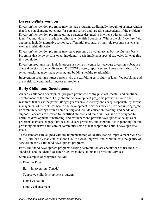#### <span id="page-7-0"></span>**Diversion/Intervention**

Diversion/intervention programs may include programs traditionally thought of as intervention that focus on changing outcomes for persons served and targeting antecedents of the problem. Diversion/intervention programs utilize strategies designed to intervene with at-risk or identified individuals to reduce or eliminate identified concerns. Within the child welfare field, examples include alternative response, differential response, or multiple response systems as well as kinship diversion.

Diversion/intervention programs may serve persons on a voluntary and/or involuntary basis. Programs that serve persons on an involuntary basis implement special strategies for engaging this population.

Diversion programs may include programs such as juvenile justice/court diversion, substance abuse diversion, truancy diversion, DUI/OWI classes, report centers, home monitoring, afterschool tracking, anger management, and building healthy relationships.

Intervention programs target persons who are exhibiting early signs of identified problems and are at risk for continued or increased problems.

# <span id="page-7-1"></span>**Early Childhood Development**

An early childhood development program promotes healthy physical, mental, and emotional development of the child. Early childhood development programs provide services and resources that assist the parent(s)/legal guardian(s) to identify and accept responsibility for the management of their child's health and development. Services may be provided in congregate or community settings or in a home setting and include education, training, and hands-on support. Services are directed to identified children and their families, and are designed to optimize development, functioning, and resilience; and prevent developmental delay. Such programs may also engage families, child care providers, and communities in planning for and providing inclusive child care in community settings that support the child's developmental goals.

These standards are aligned with the implementation of Quality Rating Improvement Systems (QRIS) utilized by many states in the U.S. to assess, improve, and communicate the quality of services in early childhood development programs.

Early childhood development programs seeking accreditation are encouraged to use the CARF standards and the identified state QRIS when developing and providing services.

Some examples of programs include:

- Families First
- Early Intervention (Canada)
- Supported child development programs
- Home visitation
- Family enhancement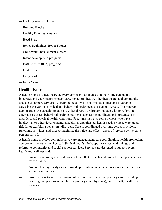- Looking After Children
- Building Blocks
- Healthy Families America
- Head Start
- Better Beginnings, Better Futures
- Child/youth development centers
- Infant development programs
- Birth to three  $(0-3)$  programs
- First Steps
- Early Start
- Early Years

#### <span id="page-8-0"></span>**Health Home**

A health home is a healthcare delivery approach that focuses on the whole person and integrates and coordinates primary care, behavioral health, other healthcare, and community and social support services. A health home allows for individual choice and is capable of assessing the various physical and behavioral health needs of persons served. The program demonstrates the capacity to address, either directly or through linkage with or referral to external resources, behavioral health conditions, such as mental illness and substance use disorders, and physical health conditions. Programs may also serve persons who have intellectual or other developmental disabilities and physical health needs or those who are at risk for or exhibiting behavioral disorders. Care is coordinated over time across providers, functions, activities, and sites to maximize the value and effectiveness of services delivered to persons served.

A health home provides comprehensive care management, care coordination, health promotion, comprehensive transitional care, individual and family/support services, and linkage and referral to community and social support services. Services are designed to support overall health and wellness and:

- Embody a recovery-focused model of care that respects and promotes independence and responsibility.
- Promote healthy lifestyles and provide prevention and education services that focus on wellness and self-care.
- Ensure access to and coordination of care across prevention, primary care (including ensuring that persons served have a primary care physician), and specialty healthcare services.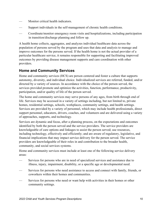- Monitor critical health indicators.
- Support individuals in the self-management of chronic health conditions.
- Coordinate/monitor emergency room visits and hospitalizations, including participation in transition/discharge planning and follow up.

A health home collects, aggregates, and analyzes individual healthcare data across the population of persons served by the program and uses that data and analysis to manage and improve outcomes for the persons served. If the health home is not the actual provider of a particular healthcare service, it remains responsible for supporting and facilitating improved outcomes by providing disease management supports and care coordination with other providers.

#### <span id="page-9-0"></span>**Home and Community Services**

Home and community services (HCS) are person centered and foster a culture that supports autonomy, diversity, and individual choice. Individualized services are referred, funded, and/or directed by a variety of sources. In accordance with the choice of the person served, the services provided promote and optimize the activities, function, performance, productivity, participation, and/or quality of life of the person served.

The home and community services may serve persons of any ages, from birth through end of life. Services may be accessed in a variety of settings including, but not limited to, private homes, residential settings, schools, workplaces, community settings, and health settings. Services are provided by a variety of personnel, which may include health professionals, direct support personnel, educators, drivers, coaches, and volunteers and are delivered using a variety of approaches, supports, and technology.

Services are dynamic and focus, after a planning process, on the expectations and outcomes identified by both the person served and the service providers. The service providers are knowledgeable of care options and linkages to assist the person served; use resources, including technology, effectively and efficiently; and are aware of regulatory, legislative, and financial implications that may impact service delivery for the person served. The service providers are knowledgeable of their roles in and contribution to the broader health, community, and social services systems.

Home and community services must include at least one of the following service delivery areas:

- Services for persons who are in need of specialized services and assistance due to illness, injury, impairment, disability, or a specific age or developmental need.
- Services for persons who need assistance to access and connect with family, friends, or coworkers within their homes and communities.
- Services for persons who need or want help with activities in their homes or other community settings.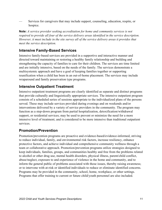Services for caregivers that may include support, counseling, education, respite, or hospice.

**Note:** *A service provider seeking accreditation for home and community services is not required to provide all four of the service delivery areas identified in the service description. However, it must include in the site survey all of the service delivery areas it provides that meet the service description.*

# <span id="page-10-0"></span>**Intensive Family-Based Services**

Intensive family-based services are provided in a supportive and interactive manner and directed toward maintaining or restoring a healthy family relationship and building and strengthening the capacity of families to care for their children. The services are time limited and are initially intensive, based on the needs of the family. The services demonstrate a multisystemic approach and have a goal of keeping families together or supporting reunification when a child has been in an out-of-home placement. The services may include wraparound and family preservation type programs.

#### <span id="page-10-1"></span>**Intensive Outpatient Treatment**

Intensive outpatient treatment programs are clearly identified as separate and distinct programs that provide culturally and linguistically appropriate services. The intensive outpatient program consists of a scheduled series of sessions appropriate to the individualized plans of the persons served. These may include services provided during evenings and on weekends and/or interventions delivered by a variety of service providers in the community. The program may function as a step-down program from partial hospitalization, detoxification/withdrawal support, or residential services; may be used to prevent or minimize the need for a more intensive level of treatment; and is considered to be more intensive than traditional outpatient services.

#### <span id="page-10-2"></span>**Promotion/Prevention**

Promotion/prevention programs are proactive and evidence-based/evidence-informed, striving to reduce individual, family, and environmental risk factors, increase resiliency, enhance protective factors, and achieve individual and comprehensive community wellness through a team or collaborative approach. Promotion/prevention programs utilize strategies designed to keep individuals, families, groups, and communities healthy and free from the problems related to alcohol or other drug use, mental health disorders, physical illness, parent/child conflict, abuse/neglect, exposure to and experience of violence in the home and community, and to inform the general public of problems associated with those issues, thereby raising awareness; or to intervene with at-risk or identified individuals to reduce or eliminate identified concerns. Programs may be provided in the community, school, home, workplace, or other settings. Programs that offer training to current or future child/youth personnel are also included.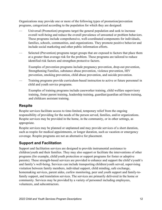Organizations may provide one or more of the following types of promotion/prevention programs, categorized according to the population for which they are designed:

- Universal (Promotion) programs target the general population and seek to increase overall well-being and reduce the overall prevalence of unwanted or problem behaviors. These programs include comprehensive, well-coordinated components for individuals, families, schools, communities, and organizations. They promote positive behavior and include social marketing and other public information efforts.
- Selected (Prevention) programs target groups that are exposed to factors that place them at a greater than average risk for the problem. These programs are tailored to reduce identified risk factors and strengthen protective factors.

Examples of prevention programs include pregnancy prevention, drop-out prevention, Strengthening Families, substance abuse prevention, violence prevention, HIV prevention, smoking prevention, child abuse prevention, and suicide prevention.

— Training programs provide curriculum-based instruction to active or future personnel in child and youth service programs.

Examples of training programs include caseworker training, child welfare supervisory training, foster parent training, leadership training, guardian/guardian ad-litem training, and childcare assistant training.

#### <span id="page-11-0"></span>**Respite**

Respite services facilitate access to time-limited, temporary relief from the ongoing responsibility of providing for the needs of the person served, families, and/or organizations. Respite services may be provided in the home, in the community, or in other settings, as appropriate.

Respite services may be planned or unplanned and may provide services of a short duration, such as respite for medical appointments, or longer duration, such as vacation or emergency coverage. Respite programs are not an alternative for placement.

#### <span id="page-11-1"></span>**Support and Facilitation**

Support and facilitation services are designed to provide instrumental assistance to children/youth and their families. They may also support or facilitate the interventions of other programs (for example, child/youth protection or support programs for foster or adoptive parents). These strength-based services are provided to enhance and support the child's/youth's and family's well-being. Services can include transporting children/youth served, supervising visitation between family members, individual support, child minding, safe exchange, homemaking services, parent aides, curfew monitoring, peer and youth support and family-tofamily support, and translation services. The services are primarily delivered in the home or community. Services may be provided by a variety of personnel including employees, volunteers, and subcontractors.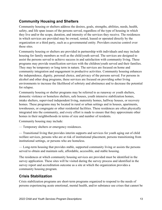# <span id="page-12-0"></span>**Community Housing and Shelters**

Community housing or shelters address the desires, goals, strengths, abilities, needs, health, safety, and life span issues of the persons served, regardless of the type of housing in which they live and/or the scope, duration, and intensity of the services they receive. The residences in which services are provided may be owned, rented, leased or operated directly by the organization or a third party, such as a governmental entity. Providers exercise control over these sites.

Community housing or shelters are provided in partnership with individuals and may include housing for family members as well as the child/youth served. The services are designed to assist the persons served to achieve success in and satisfaction with community living. These programs may provide reunification services with the children/youth served and their families. They may be temporary or long term in nature. The services are focused on home and community integration and engagement in productive activities. Community housing enhances the independence, dignity, personal choice, and privacy of the persons served. For persons in alcohol and other drug programs, these services are focused on providing sober living environments to increase the likelihood of sobriety and abstinence and to decrease the potential for relapse.

Community housing or shelter programs may be referred to as runaway or youth shelters, domestic violence or homeless shelters, safe houses, youth intensive stabilization homes, intake shelters, supervised independent living, maternity homes, halfway houses, or recovery homes. These programs may be located in rural or urban settings and in houses, apartments, townhouses, or congregate or other residential facilities. These residences are often physically integrated into the community, and every effort is made to ensure that they approximate other homes in their neighborhoods in terms of size and number of residents.

Community housing may include:

— Temporary shelters or emergency residences.

— Transitional living that provides interim supports and services for youth aging out of child welfare services, persons who are at risk of institutional placement, persons transitioning from institutional settings, or persons who are homeless.

— Long-term housing that provides stable, supported community living or assists the persons served to obtain and maintain safe, affordable, accessible, and stable housing.

The residences at which community housing services are provided must be identified in the survey application. These sites will be visited during the survey process and identified in the survey report and accreditation outcome as a site at which the organization provides a community housing program.

# <span id="page-12-1"></span>**Crisis Stabilization**

Crisis stabilization programs are short-term programs organized to respond to the needs of persons experiencing acute emotional, mental health, and/or substance use crises that cannot be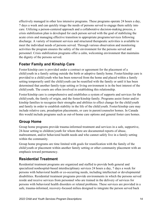effectively managed in other less intensive programs. These programs operate 24 hours a day, 7 days a week and can quickly triage the needs of persons served to engage them safely into care. Utilizing a person-centered approach and a collaborative decision-making process, a crisis stabilization plan is developed for each person served with the goal of stabilizing the acute crisis and managing effective transition to appropriate programs/services following discharge. A variety of treatment services and structured therapeutic activities is available to meet the individual needs of persons served. Through various observation and monitoring activities the program ensures the safety of the environment for the persons served and personnel. Crisis stabilization programs offer a calm, welcoming environment that maintains the dignity of the persons served.

# <span id="page-13-0"></span>**Foster Family and Kinship Care**

Foster/kinship care is provided under a contract or agreement for the placement of a child/youth in a family setting outside the birth or adoptive family home. Foster/kinship care is provided to a child/youth who has been removed from the home and placed within a family setting temporarily until the child/youth can be reunified with the family or until it has been determined that another family-type setting or living environment is in the best interest of the child/youth. The courts are often involved in establishing this relationship.

Foster/kinship care is comprehensive and establishes a system of supports and services for the child/youth, the family of origin, and the foster/kinship family. Programs assist foster and/or kinship families to recognize their strengths and abilities to effect change for the child/youth and family in order to establish stability in the life of the child/youth. Foster/kinship care may include relative care, preadoption placements, or care in parent/counselor homes. In Canada this would include programs such as out-of-home care options and general foster care homes.

# <span id="page-13-1"></span>**Group Home**

Group home programs provide trauma-informed treatment and services in a safe, supportive, 24-hour setting to children/youth for whom there are documented reports of abuse, maltreatment, and/or behavioral health needs and who cannot safely live in a family setting within the community.

Group home programs are time limited with goals for reunification with the family of the child/youth or placement within another family setting or other community placement with an emphasis toward permanency.

#### <span id="page-13-2"></span>**Residential Treatment**

Residential treatment programs are organized and staffed to provide both general and specialized nonhospital-based interdisciplinary services 24 hours a day, 7 days a week for persons with behavioral health or co-occurring needs, including intellectual or developmental disabilities. Residential treatment programs provide environments in which the persons served reside and receive services from personnel who are trained in the delivery of services for persons with behavioral health disorders or related problems. These services are provided in a safe, trauma-informed, recovery-focused milieu designed to integrate the person served back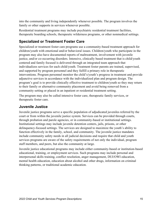into the community and living independently whenever possible. The program involves the family or other supports in services whenever possible.

Residential treatment programs may include psychiatric residential treatment facilities, therapeutic boarding schools, therapeutic wilderness programs, or other nonmedical settings.

# <span id="page-14-0"></span>**Specialized or Treatment Foster Care**

Specialized or treatment foster care programs use a community-based treatment approach for children/youth with emotional and/or behavioral issues. Children/youth who participate in the program may also have documented reports of maltreatment, involvement with juvenile justice, and/or co-occurring disorders. Intensive, clinically based treatment that is child/youth centered and family focused is delivered through an integrated team approach that individualizes services for each child/youth. Treatment foster parents are trained, supervised, and supported by program personnel and they fulfill a primary role in therapeutic interventions. Program personnel monitor the child's/youth's progress in treatment and provide adjunctive services in accordance with the individualized plan and program design. The program's goal is to provide clinically effective treatment to children/youth so they may return to their family or alternative community placement and avoid being removed from a community setting or placed in an inpatient or residential treatment setting.

The program may also be called intensive foster care, therapeutic family services, or therapeutic foster care.

# <span id="page-14-1"></span>**Juvenile Justice**

Juvenile justice programs serve a specific population of adjudicated juveniles referred by the court or from within the juvenile justice system. Services can be provided through courts, through probation and parole agencies, or in community-based or institutional settings. Institutional settings may include juvenile detention centers, jails, prisons, or other delinquency-focused settings. The services are designed to maximize the youth's ability to function effectively in the family, school, and community. The juvenile justice mandates include community safety needs in all judicial decisions and require that child and youth services programs are aware of the safety requirements of not only the individual, program staff members, and peers, but also the community at large.

Juvenile justice educational programs may include either community-based or institution-based educational, training, or employment services. Such programs may include personal and interpersonal skills training, conflict resolution, anger management, DUI/OWI education, mental health education, education about alcohol and other drugs, information on criminal thinking patterns, or traditional academic education.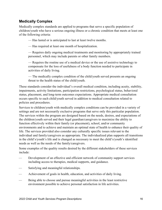#### <span id="page-15-0"></span>**Medically Complex**

Medically complex standards are applied to programs that serve a specific population of children/youth who have a serious ongoing illness or a chronic condition that meets at least one of the following criteria:

— Has lasted or is anticipated to last at least twelve months.

— Has required at least one month of hospitalization.

— Requires daily ongoing medical treatments and monitoring by appropriately trained personnel, which may include parents or other family members.

— Requires the routine use of a medical device or the use of assistive technology to compensate for the loss of usefulness of a body function needed to participate in activities of daily living.

— The medically complex condition of the child/youth served presents an ongoing threat to the health status of the child/youth.

These standards consider the individual's overall medical condition, including acuity, stability, impairments, activity limitations, participation restrictions, psychological status, behavioral status, placement, and long-term outcomes expectations. Appropriate medical consultation occurs specific to each child/youth served in addition to medical consultation related to policies and procedures.

Services to children/youth with medically complex conditions can be provided in a variety of settings and are not necessarily exclusive programs that serve only this particular population. The services within the program are designed based on the needs, desires, and expectations of the children/youth served and their legal guardian/caregivers to maximize the ability to function effectively within their family (or placement), school, and/or community environments and to achieve and maintain an optimal state of health to enhance their quality of life. The services provided also consider any culturally specific issues relevant to the individual and family/caregivers as appropriate. The individualized plan supports all transitions in the child's/youth's life and is changed as necessary to meet the child's/youth's identified needs as well as the needs of the family/caregivers.

Some examples of the quality results desired by the different stakeholders of these services include:

- Development of an effective and efficient network of community support services including access to therapies, medical supports, and guidance.
- Satisfying and meaningful relationships.
- Achievement of goals in health, education, and activities of daily living.
- Being able to choose and pursue meaningful activities in the least restrictive environment possible to achieve personal satisfaction in life activities.